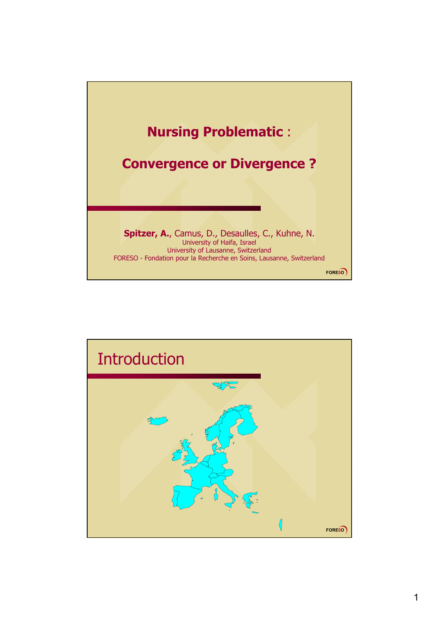

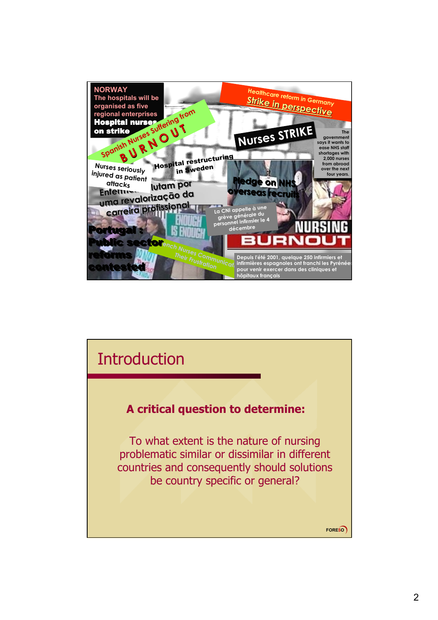

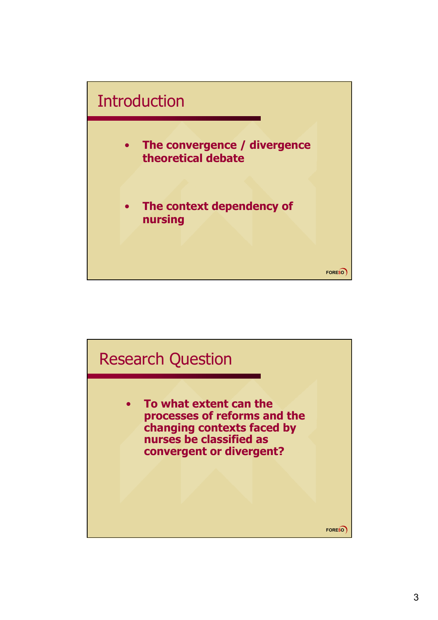

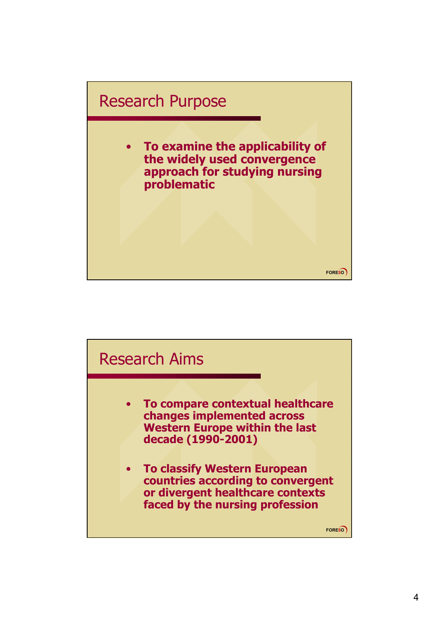

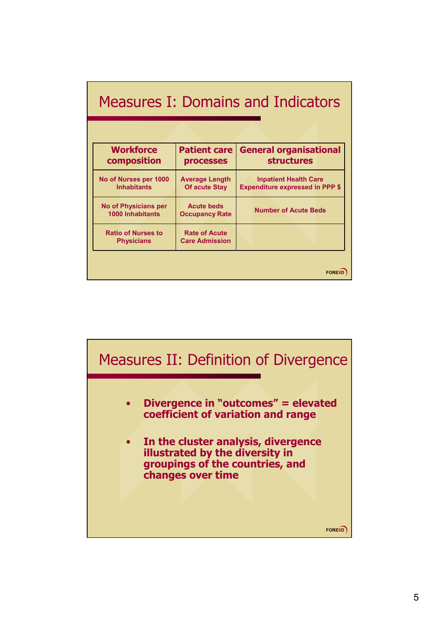| <b>Workforce</b><br>composition                        | <b>Patient care</b><br><b>processes</b>       | <b>General organisational</b><br><b>structures</b>                     |
|--------------------------------------------------------|-----------------------------------------------|------------------------------------------------------------------------|
| No of Nurses per 1000<br><b>Inhabitants</b>            | <b>Average Length</b><br><b>Of acute Stay</b> | <b>Inpatient Health Care</b><br><b>Expenditure expressed in PPP \$</b> |
| <b>No of Physicians per</b><br><b>1000 Inhabitants</b> | <b>Acute beds</b><br><b>Occupancy Rate</b>    | <b>Number of Acute Beds</b>                                            |
| <b>Ratio of Nurses to</b><br><b>Physicians</b>         | <b>Rate of Acute</b><br><b>Care Admission</b> |                                                                        |

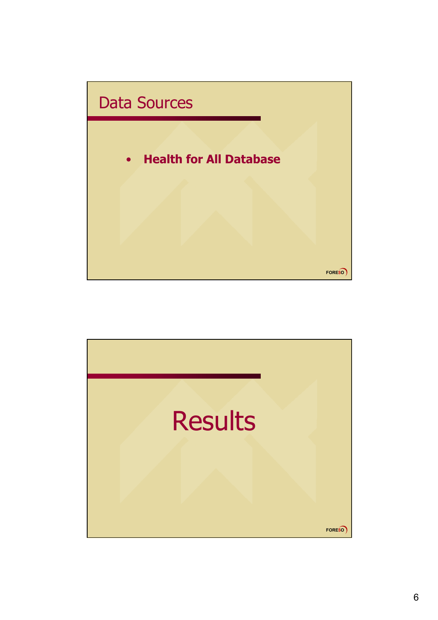

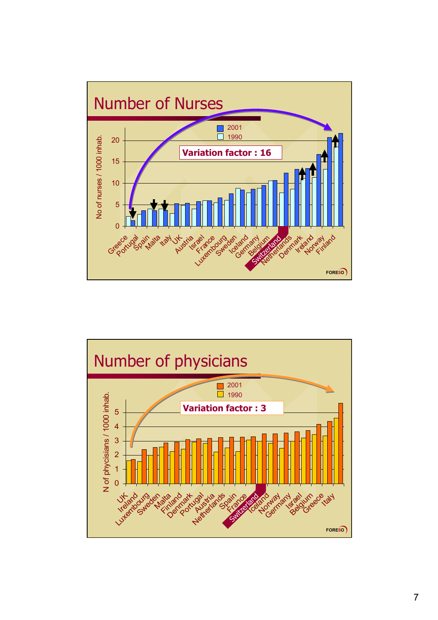

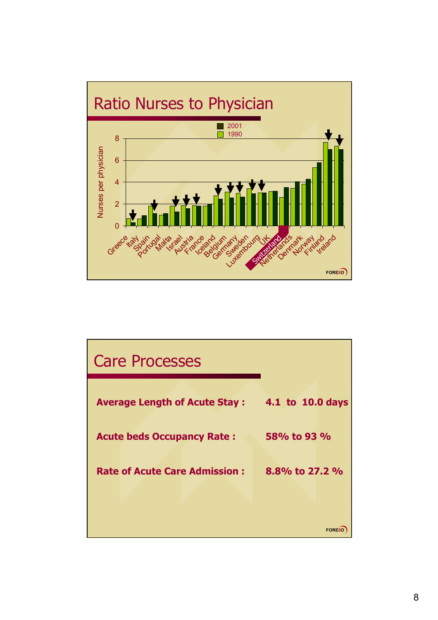

| <b>Care Processes</b>                |                  |
|--------------------------------------|------------------|
| <b>Average Length of Acute Stay:</b> | 4.1 to 10.0 days |
| <b>Acute beds Occupancy Rate:</b>    | 58% to 93 %      |
| <b>Rate of Acute Care Admission:</b> | 8.8% to 27.2 %   |
|                                      |                  |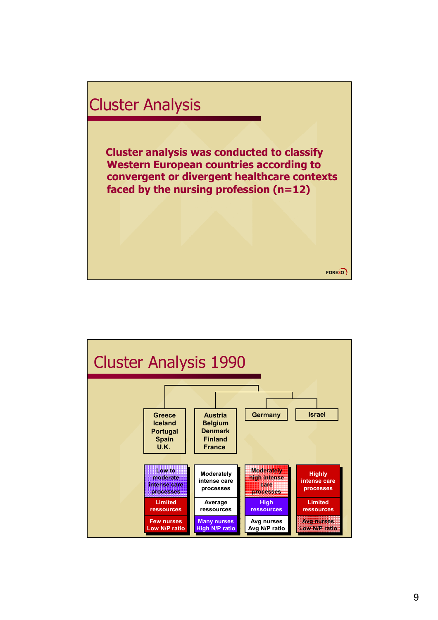

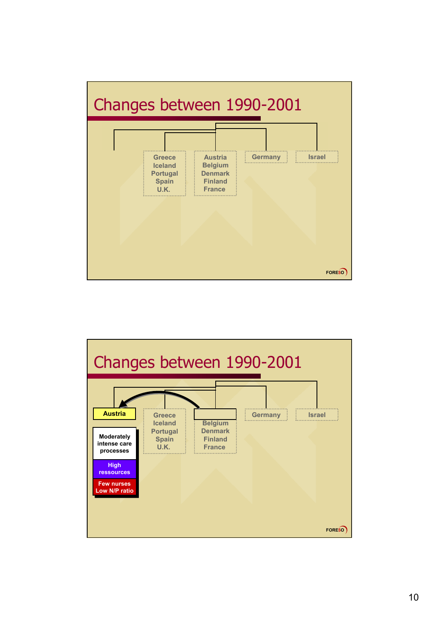

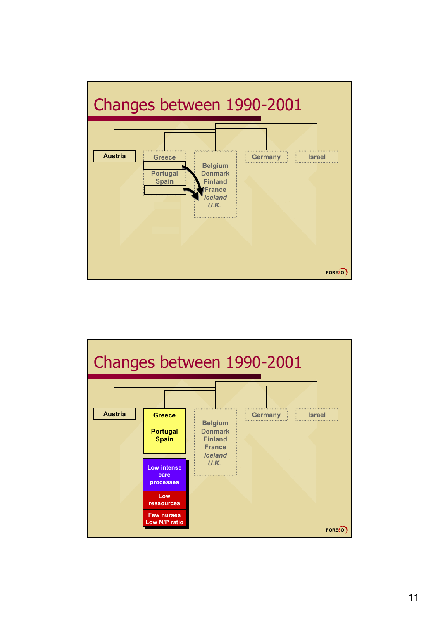

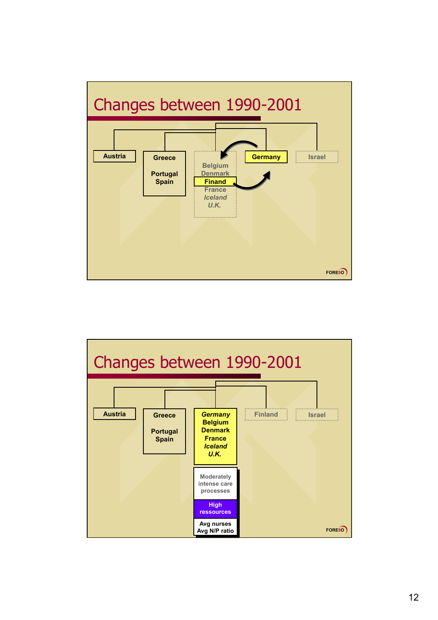

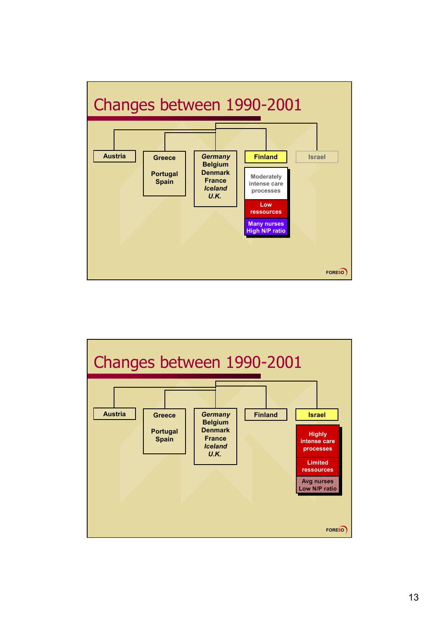

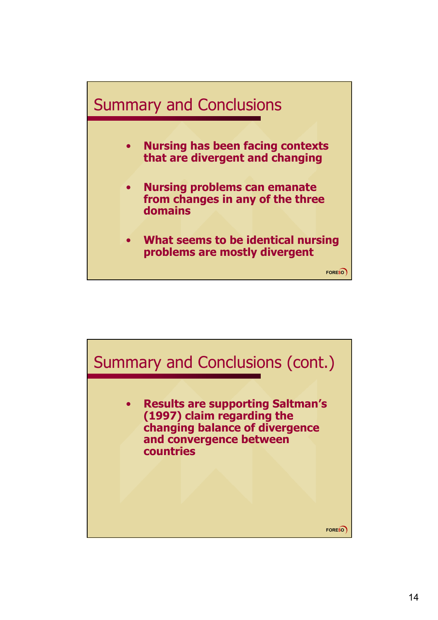

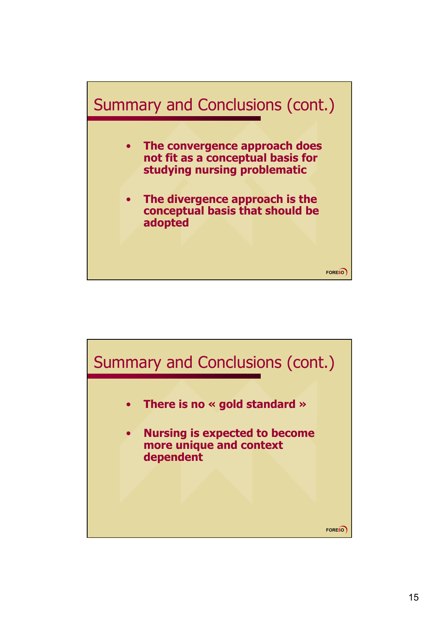